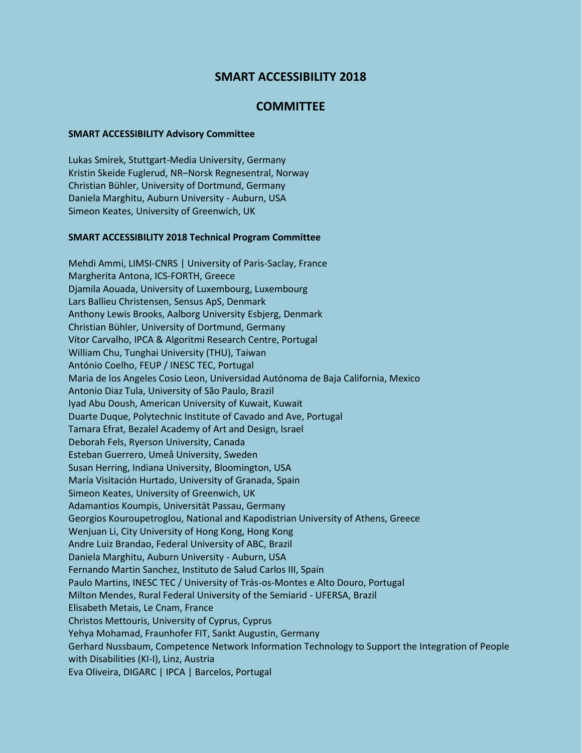## **SMART ACCESSIBILITY 2018**

## **COMMITTEE**

## **SMART ACCESSIBILITY Advisory Committee**

Lukas Smirek, Stuttgart-Media University, Germany Kristin Skeide Fuglerud, NR–Norsk Regnesentral, Norway Christian Bühler, University of Dortmund, Germany Daniela Marghitu, Auburn University - Auburn, USA Simeon Keates, University of Greenwich, UK

## **SMART ACCESSIBILITY 2018 Technical Program Committee**

Mehdi Ammi, LIMSI-CNRS | University of Paris-Saclay, France Margherita Antona, ICS-FORTH, Greece Djamila Aouada, University of Luxembourg, Luxembourg Lars Ballieu Christensen, Sensus ApS, Denmark Anthony Lewis Brooks, Aalborg University Esbjerg, Denmark Christian Bühler, University of Dortmund, Germany Vítor Carvalho, IPCA & Algoritmi Research Centre, Portugal William Chu, Tunghai University (THU), Taiwan António Coelho, FEUP / INESC TEC, Portugal Maria de los Angeles Cosio Leon, Universidad Autónoma de Baja California, Mexico Antonio Diaz Tula, University of São Paulo, Brazil Iyad Abu Doush, American University of Kuwait, Kuwait Duarte Duque, Polytechnic Institute of Cavado and Ave, Portugal Tamara Efrat, Bezalel Academy of Art and Design, Israel Deborah Fels, Ryerson University, Canada Esteban Guerrero, Umeå University, Sweden Susan Herring, Indiana University, Bloomington, USA María Visitación Hurtado, University of Granada, Spain Simeon Keates, University of Greenwich, UK Adamantios Koumpis, Universität Passau, Germany Georgios Kouroupetroglou, National and Kapodistrian University of Athens, Greece Wenjuan Li, City University of Hong Kong, Hong Kong Andre Luiz Brandao, Federal University of ABC, Brazil Daniela Marghitu, Auburn University - Auburn, USA Fernando Martin Sanchez, Instituto de Salud Carlos III, Spain Paulo Martins, INESC TEC / University of Trás-os-Montes e Alto Douro, Portugal Milton Mendes, Rural Federal University of the Semiarid - UFERSA, Brazil Elisabeth Metais, Le Cnam, France Christos Mettouris, University of Cyprus, Cyprus Yehya Mohamad, Fraunhofer FIT, Sankt Augustin, Germany Gerhard Nussbaum, Competence Network Information Technology to Support the Integration of People with Disabilities (KI-I), Linz, Austria Eva Oliveira, DIGARC | IPCA | Barcelos, Portugal